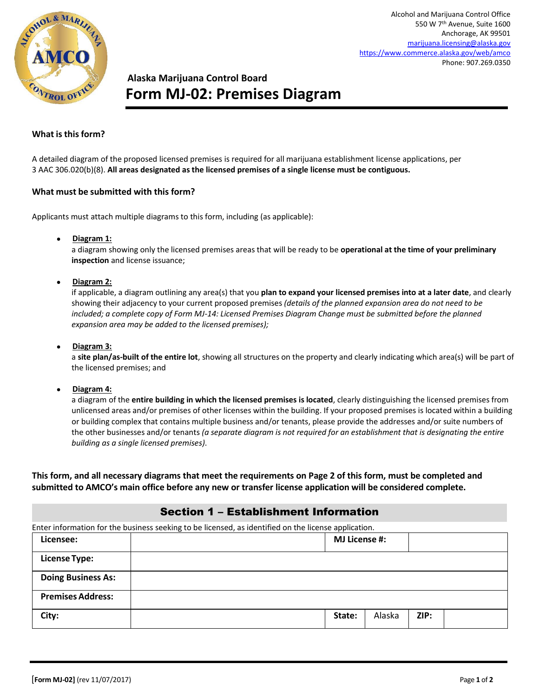

# **Alaska Marijuana Control Board Form MJ-02: Premises Diagram**

#### **What is this form?**

A detailed diagram of the proposed licensed premises is required for all marijuana establishment license applications, per 3 AAC 306.020(b)(8). **All areas designated as the licensed premises of a single license must be contiguous.**

#### **What must be submitted with this form?**

Applicants must attach multiple diagrams to this form, including (as applicable):

**Diagram 1:**

a diagram showing only the licensed premises areas that will be ready to be **operational at the time of your preliminary inspection** and license issuance;

**Diagram 2:**

if applicable, a diagram outlining any area(s) that you **plan to expand your licensed premises into at a later date**, and clearly showing their adjacency to your current proposed premises *(details of the planned expansion area do not need to be included; a complete copy of Form MJ-14: Licensed Premises Diagram Change must be submitted before the planned expansion area may be added to the licensed premises);*

**Diagram 3:**

a **site plan/as-built of the entire lot**, showing all structures on the property and clearly indicating which area(s) will be part of the licensed premises; and

**Diagram 4:**

a diagram of the **entire building in which the licensed premises is located**, clearly distinguishing the licensed premises from unlicensed areas and/or premises of other licenses within the building. If your proposed premises is located within a building or building complex that contains multiple business and/or tenants, please provide the addresses and/or suite numbers of the other businesses and/or tenants *(a separate diagram is not required for an establishment that is designating the entire building as a single licensed premises)*.

**This form, and all necessary diagrams that meet the requirements on Page 2 of this form, must be completed and submitted to AMCO's main office before any new or transfer license application will be considered complete.**

### Section 1 – Establishment Information

Enter information for the business seeking to be licensed, as identified on the license application.

| Licensee:                 | ັ | .<br><b>MJ License #:</b> |        |      |  |
|---------------------------|---|---------------------------|--------|------|--|
| <b>License Type:</b>      |   |                           |        |      |  |
| <b>Doing Business As:</b> |   |                           |        |      |  |
| <b>Premises Address:</b>  |   |                           |        |      |  |
| City:                     |   | State:                    | Alaska | ZIP: |  |